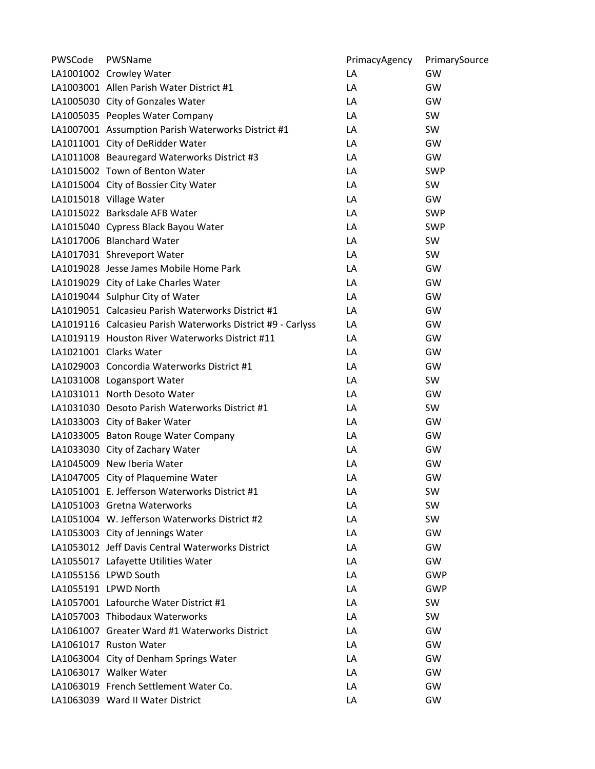| PWSCode | PWSName                                                     | PrimacyAgency | PrimarySource |
|---------|-------------------------------------------------------------|---------------|---------------|
|         | LA1001002 Crowley Water                                     | LA            | GW            |
|         | LA1003001 Allen Parish Water District #1                    | LA            | GW            |
|         | LA1005030 City of Gonzales Water                            | LA            | GW            |
|         | LA1005035 Peoples Water Company                             | LA            | SW            |
|         | LA1007001 Assumption Parish Waterworks District #1          | LA            | SW            |
|         | LA1011001 City of DeRidder Water                            | LA            | GW            |
|         | LA1011008 Beauregard Waterworks District #3                 | LA            | GW            |
|         | LA1015002 Town of Benton Water                              | LA            | <b>SWP</b>    |
|         | LA1015004 City of Bossier City Water                        | LA            | SW            |
|         | LA1015018 Village Water                                     | LA            | GW            |
|         | LA1015022 Barksdale AFB Water                               | LA            | <b>SWP</b>    |
|         | LA1015040 Cypress Black Bayou Water                         | LA            | <b>SWP</b>    |
|         | LA1017006 Blanchard Water                                   | LA            | SW            |
|         | LA1017031 Shreveport Water                                  | LA            | SW            |
|         | LA1019028 Jesse James Mobile Home Park                      | LA            | GW            |
|         | LA1019029 City of Lake Charles Water                        | LA            | GW            |
|         | LA1019044 Sulphur City of Water                             | LA            | GW            |
|         | LA1019051 Calcasieu Parish Waterworks District #1           | LA            | GW            |
|         | LA1019116 Calcasieu Parish Waterworks District #9 - Carlyss | LA            | GW            |
|         | LA1019119 Houston River Waterworks District #11             | LA            | GW            |
|         | LA1021001 Clarks Water                                      | LA            | GW            |
|         | LA1029003 Concordia Waterworks District #1                  | LA            | GW            |
|         | LA1031008 Logansport Water                                  | LA            | SW            |
|         | LA1031011 North Desoto Water                                | LA            | GW            |
|         | LA1031030 Desoto Parish Waterworks District #1              | LA            | SW            |
|         | LA1033003 City of Baker Water                               | LA            | GW            |
|         | LA1033005 Baton Rouge Water Company                         | LA            | GW            |
|         | LA1033030 City of Zachary Water                             | LA            | GW            |
|         | LA1045009 New Iberia Water                                  | LA            | GW            |
|         | LA1047005 City of Plaquemine Water                          | LA            | GW            |
|         | LA1051001 E. Jefferson Waterworks District #1               | LA            | SW            |
|         | LA1051003 Gretna Waterworks                                 | LA            | <b>SW</b>     |
|         | LA1051004 W. Jefferson Waterworks District #2               | LA            | SW            |
|         | LA1053003 City of Jennings Water                            | LA            | GW            |
|         | LA1053012 Jeff Davis Central Waterworks District            | LA            | GW            |
|         | LA1055017 Lafayette Utilities Water                         | LA            | GW            |
|         | LA1055156 LPWD South                                        | LA            | <b>GWP</b>    |
|         | LA1055191 LPWD North                                        | LA            | GWP           |
|         | LA1057001 Lafourche Water District #1                       | LA            | SW            |
|         | LA1057003 Thibodaux Waterworks                              | LA            | <b>SW</b>     |
|         | LA1061007 Greater Ward #1 Waterworks District               | LA            | GW            |
|         | LA1061017 Ruston Water                                      | LA            | GW            |
|         | LA1063004 City of Denham Springs Water                      | LA            | GW            |
|         | LA1063017 Walker Water                                      | LA            | GW            |
|         | LA1063019 French Settlement Water Co.                       | LA            | GW            |
|         | LA1063039 Ward II Water District                            | LA            | GW            |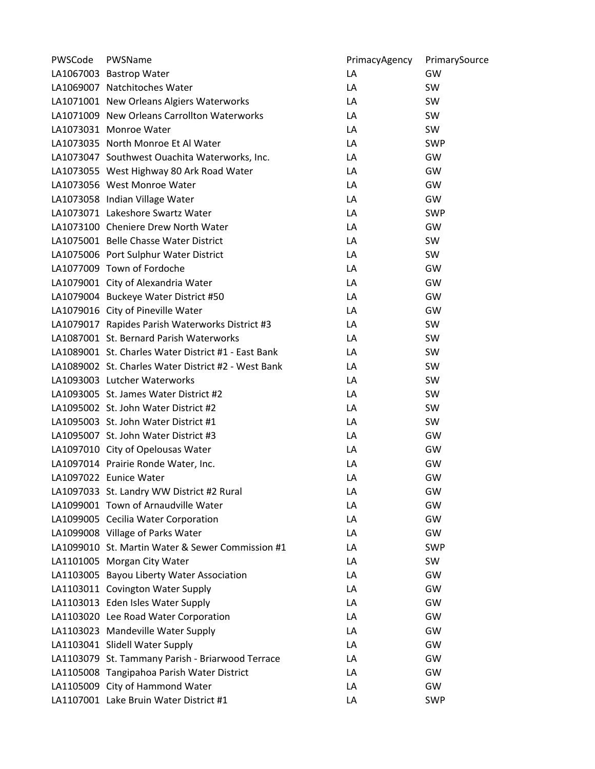| PWSCode | PWSName                                             | PrimacyAgency | PrimarySource |
|---------|-----------------------------------------------------|---------------|---------------|
|         | LA1067003 Bastrop Water                             | LA            | GW            |
|         | LA1069007 Natchitoches Water                        | LA            | SW            |
|         | LA1071001 New Orleans Algiers Waterworks            | LA            | SW            |
|         | LA1071009 New Orleans Carrollton Waterworks         | LA            | SW            |
|         | LA1073031 Monroe Water                              | LA            | SW            |
|         | LA1073035 North Monroe Et Al Water                  | LA            | <b>SWP</b>    |
|         | LA1073047 Southwest Ouachita Waterworks, Inc.       | LA            | GW            |
|         | LA1073055 West Highway 80 Ark Road Water            | LA            | GW            |
|         | LA1073056 West Monroe Water                         | LA            | GW            |
|         | LA1073058 Indian Village Water                      | LA            | GW            |
|         | LA1073071 Lakeshore Swartz Water                    | LA            | <b>SWP</b>    |
|         | LA1073100 Cheniere Drew North Water                 | LA            | GW            |
|         | LA1075001 Belle Chasse Water District               | LA            | SW            |
|         | LA1075006 Port Sulphur Water District               | LA            | SW            |
|         | LA1077009 Town of Fordoche                          | LA            | GW            |
|         | LA1079001 City of Alexandria Water                  | LA            | GW            |
|         | LA1079004 Buckeye Water District #50                | LA            | GW            |
|         | LA1079016 City of Pineville Water                   | LA            | GW            |
|         | LA1079017 Rapides Parish Waterworks District #3     | LA            | SW            |
|         | LA1087001 St. Bernard Parish Waterworks             | LA            | SW            |
|         | LA1089001 St. Charles Water District #1 - East Bank | LA            | SW            |
|         | LA1089002 St. Charles Water District #2 - West Bank | LA            | SW            |
|         | LA1093003 Lutcher Waterworks                        | LA            | SW            |
|         | LA1093005 St. James Water District #2               | LA            | SW            |
|         | LA1095002 St. John Water District #2                | LA            | SW            |
|         | LA1095003 St. John Water District #1                | LA            | SW            |
|         | LA1095007 St. John Water District #3                | LA            | GW            |
|         | LA1097010 City of Opelousas Water                   | LA            | GW            |
|         | LA1097014 Prairie Ronde Water, Inc.                 | LA            | GW            |
|         | LA1097022 Eunice Water                              | LA            | GW            |
|         | LA1097033 St. Landry WW District #2 Rural           | LA            | GW            |
|         | LA1099001 Town of Arnaudville Water                 | LA            | GW            |
|         | LA1099005 Cecilia Water Corporation                 | LA            | GW            |
|         | LA1099008 Village of Parks Water                    | LA            | GW            |
|         | LA1099010 St. Martin Water & Sewer Commission #1    | LA            | <b>SWP</b>    |
|         | LA1101005 Morgan City Water                         | LA            | SW            |
|         | LA1103005 Bayou Liberty Water Association           | LA            | GW            |
|         | LA1103011 Covington Water Supply                    | LA            | GW            |
|         | LA1103013 Eden Isles Water Supply                   | LA            | GW            |
|         | LA1103020 Lee Road Water Corporation                | LA            | GW            |
|         | LA1103023 Mandeville Water Supply                   | LA            | GW            |
|         | LA1103041 Slidell Water Supply                      | LA            | GW            |
|         | LA1103079 St. Tammany Parish - Briarwood Terrace    | LA            | GW            |
|         | LA1105008 Tangipahoa Parish Water District          | LA            | GW            |
|         | LA1105009 City of Hammond Water                     | LA            | GW            |
|         | LA1107001 Lake Bruin Water District #1              | LA            | <b>SWP</b>    |